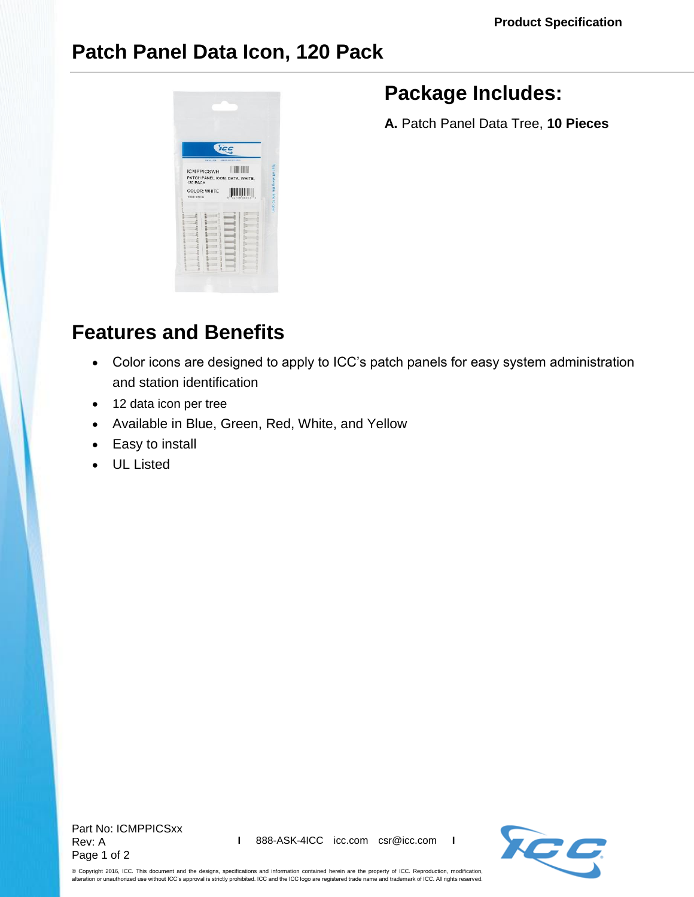## **Patch Panel Data Icon, 120 Pack**



## **Package Includes:**

**A.** Patch Panel Data Tree, **10 Pieces**

## **Features and Benefits**

- Color icons are designed to apply to ICC's patch panels for easy system administration and station identification
- 12 data icon per tree
- Available in Blue, Green, Red, White, and Yellow
- Easy to install
- UL Listed

Part No: ICMPPICSxx Rev: A Page 1 of 2



© Copyright 2016, ICC. This document and the designs, specifications and information contained herein are the property of ICC. Reproduction, modification, alteration or unauthorized use without ICC's approval is strictly prohibited. ICC and the ICC logo are registered trade name and trademark of ICC. All rights reserved.